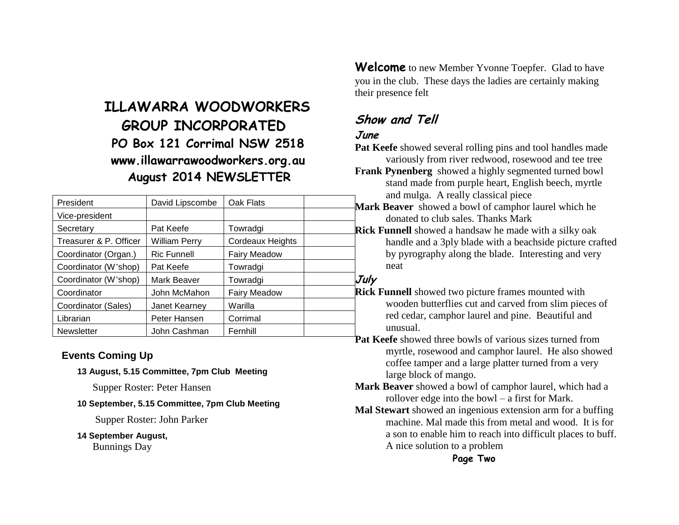# **ILLAWARRA WOODWORKERS GROUP INCORPORATED PO Box 121 Corrimal NSW 2518 www.illawarrawoodworkers.org.au August 2014 NEWSLETTER**

| President              | David Lipscombe      | Oak Flats           | Mark        |
|------------------------|----------------------|---------------------|-------------|
| Vice-president         |                      |                     |             |
| Secretary              | Pat Keefe            | Towradgi            | Rick        |
| Treasurer & P. Officer | <b>William Perry</b> | Cordeaux Heights    |             |
| Coordinator (Organ.)   | <b>Ric Funnell</b>   | <b>Fairy Meadow</b> |             |
| Coordinator (W'shop)   | Pat Keefe            | Towradgi            |             |
| Coordinator (W'shop)   | Mark Beaver          | Towradgi            | July        |
| Coordinator            | John McMahon         | <b>Fairy Meadow</b> | <b>Rick</b> |
| Coordinator (Sales)    | Janet Kearnev        | Warilla             |             |
| Librarian              | Peter Hansen         | Corrimal            |             |
| <b>Newsletter</b>      | John Cashman         | Fernhill            |             |

### **Events Coming Up**

**13 August, 5.15 Committee, 7pm Club Meeting**

Supper Roster: Peter Hansen

#### **10 September, 5.15 Committee, 7pm Club Meeting**

Supper Roster: John Parker

**14 September August,** 

Bunnings Day

**Welcome** to new Member Yvonne Toepfer. Glad to have you in the club. These days the ladies are certainly making their presence felt

# **Show and Tell**

## **June**

**Pat Keefe** showed several rolling pins and tool handles made variously from river redwood, rosewood and tee tree

**Frank Pynenberg** showed a highly segmented turned bowl stand made from purple heart, English beech, myrtle and mulga. A really classical piece

**rk Beaver** showed a bowl of camphor laurel which he donated to club sales. Thanks Mark

**k Funnell** showed a handsaw he made with a silky oak handle and a 3ply blade with a beachside picture crafted by pyrography along the blade. Interesting and very neat

**k Funnell** showed two picture frames mounted with wooden butterflies cut and carved from slim pieces of red cedar, camphor laurel and pine. Beautiful and unusual.

**Pat Keefe** showed three bowls of various sizes turned from myrtle, rosewood and camphor laurel. He also showed coffee tamper and a large platter turned from a very large block of mango.

**Mark Beaver** showed a bowl of camphor laurel, which had a rollover edge into the bowl – a first for Mark.

**Mal Stewart** showed an ingenious extension arm for a buffing machine. Mal made this from metal and wood. It is for a son to enable him to reach into difficult places to buff. A nice solution to a problem

## **Page Two**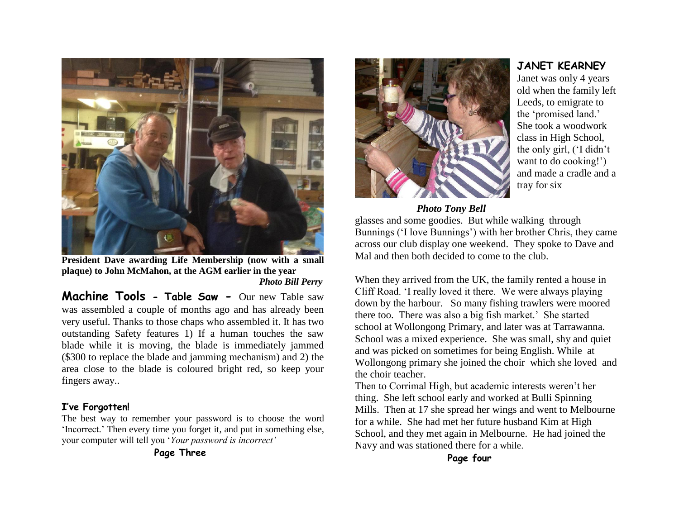

**President Dave awarding Life Membership (now with a small plaque) to John McMahon, at the AGM earlier in the year** *Photo Bill Perry*

**Machine Tools - Table Saw -** Our new Table saw was assembled a couple of months ago and has already been very useful. Thanks to those chaps who assembled it. It has two outstanding Safety features 1) If a human touches the saw blade while it is moving, the blade is immediately jammed (\$300 to replace the blade and jamming mechanism) and 2) the area close to the blade is coloured bright red, so keep your fingers away..

#### **I've Forgotten!**

The best way to remember your password is to choose the word 'Incorrect.' Then every time you forget it, and put in something else, your computer will tell you '*Your password is incorrect'*

#### **Page Three**



#### *Photo Tony Bell*

glasses and some goodies. But while walking through Bunnings ('I love Bunnings') with her brother Chris, they came across our club display one weekend. They spoke to Dave and Mal and then both decided to come to the club.

When they arrived from the UK, the family rented a house in Cliff Road. 'I really loved it there. We were always playing down by the harbour. So many fishing trawlers were moored there too. There was also a big fish market.' She started school at Wollongong Primary, and later was at Tarrawanna. School was a mixed experience. She was small, shy and quiet and was picked on sometimes for being English. While at Wollongong primary she joined the choir which she loved and the choir teacher.

Then to Corrimal High, but academic interests weren't her thing. She left school early and worked at Bulli Spinning Mills. Then at 17 she spread her wings and went to Melbourne for a while. She had met her future husband Kim at High School, and they met again in Melbourne. He had joined the Navy and was stationed there for a while.

**Page four**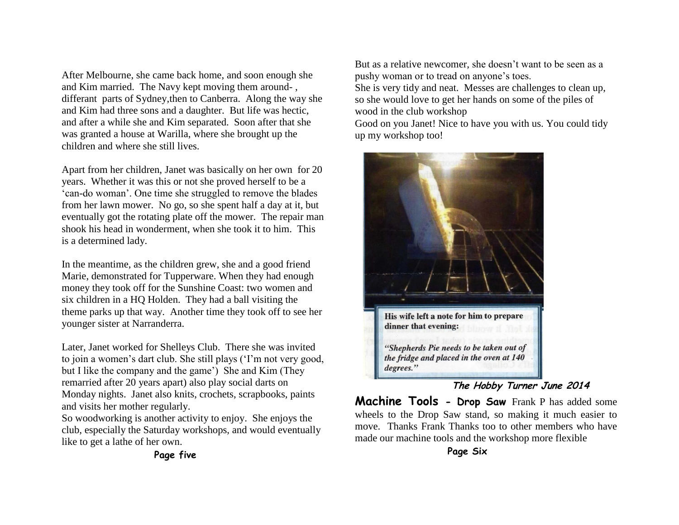After Melbourne, she came back home, and soon enough she and Kim married. The Navy kept moving them around- , differant parts of Sydney,then to Canberra. Along the way she and Kim had three sons and a daughter. But life was hectic, and after a while she and Kim separated. Soon after that she was granted a house at Warilla, where she brought up the children and where she still lives.

Apart from her children, Janet was basically on her own for 20 years. Whether it was this or not she proved herself to be a 'can-do woman'. One time she struggled to remove the blades from her lawn mower. No go, so she spent half a day at it, but eventually got the rotating plate off the mower. The repair man shook his head in wonderment, when she took it to him. This is a determined lady.

In the meantime, as the children grew, she and a good friend Marie, demonstrated for Tupperware. When they had enough money they took off for the Sunshine Coast: two women and six children in a HQ Holden. They had a ball visiting the theme parks up that way. Another time they took off to see her younger sister at Narranderra.

Later, Janet worked for Shelleys Club. There she was invited to join a women's dart club. She still plays ('I'm not very good, but I like the company and the game') She and Kim (They remarried after 20 years apart) also play social darts on Monday nights. Janet also knits, crochets, scrapbooks, paints and visits her mother regularly.

So woodworking is another activity to enjoy. She enjoys the club, especially the Saturday workshops, and would eventually like to get a lathe of her own.

But as a relative newcomer, she doesn't want to be seen as a pushy woman or to tread on anyone's toes.

She is very tidy and neat. Messes are challenges to clean up, so she would love to get her hands on some of the piles of wood in the club workshop

Good on you Janet! Nice to have you with us. You could tidy up my workshop too!



#### **The Hobby Turner June 2014**

**Machine Tools - Drop Saw** Frank P has added some wheels to the Drop Saw stand, so making it much easier to move. Thanks Frank Thanks too to other members who have made our machine tools and the workshop more flexible

**Page five**

**Page Six**